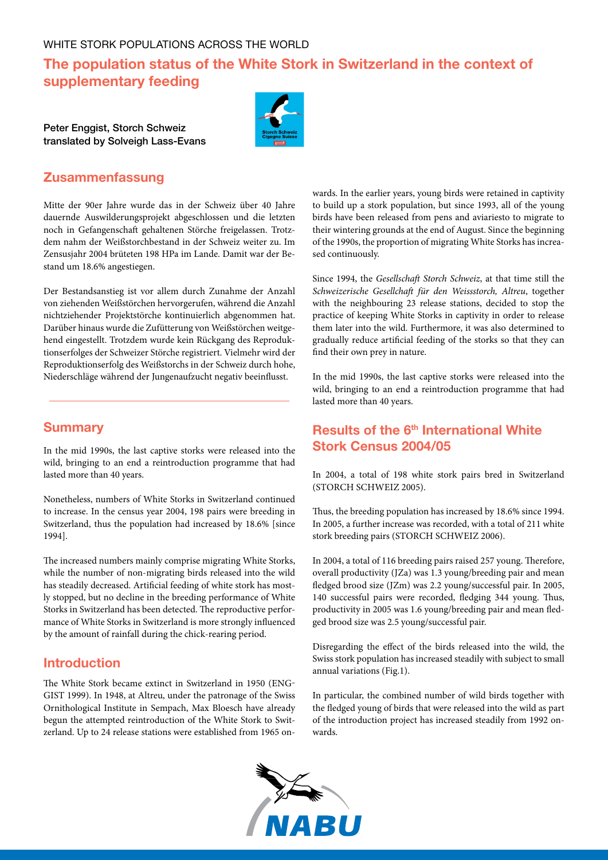# **The population status of the White Stork in Switzerland in the context of supplementary feeding**

Peter Enggist, Storch Schweiz translated by Solveigh Lass-Evans



### **Zusammenfassung**

Mitte der 90er Jahre wurde das in der Schweiz über 40 Jahre dauernde Auswilderungsprojekt abgeschlossen und die letzten noch in Gefangenschaft gehaltenen Störche freigelassen. Trotzdem nahm der Weißstorchbestand in der Schweiz weiter zu. Im Zensusjahr 2004 brüteten 198 HPa im Lande. Damit war der Bestand um 18.6% angestiegen.

Der Bestandsanstieg ist vor allem durch Zunahme der Anzahl von ziehenden Weißstörchen hervorgerufen, während die Anzahl nichtziehender Projektstörche kontinuierlich abgenommen hat. Darüber hinaus wurde die Zufütterung von Weißstörchen weitgehend eingestellt. Trotzdem wurde kein Rückgang des Reproduktionserfolges der Schweizer Störche registriert. Vielmehr wird der Reproduktionserfolg des Weißstorchs in der Schweiz durch hohe, Niederschläge während der Jungenaufzucht negativ beeinflusst.

#### **Summary**

In the mid 1990s, the last captive storks were released into the wild, bringing to an end a reintroduction programme that had lasted more than 40 years.

Nonetheless, numbers of White Storks in Switzerland continued to increase. In the census year 2004, 198 pairs were breeding in Switzerland, thus the population had increased by 18.6% [since 1994].

The increased numbers mainly comprise migrating White Storks, while the number of non-migrating birds released into the wild has steadily decreased. Artificial feeding of white stork has mostly stopped, but no decline in the breeding performance of White Storks in Switzerland has been detected. The reproductive performance of White Storks in Switzerland is more strongly influenced by the amount of rainfall during the chick-rearing period.

#### **Introduction**

The White Stork became extinct in Switzerland in 1950 (Eng-GIST 1999). In 1948, at Altreu, under the patronage of the Swiss Ornithological Institute in Sempach, Max Bloesch have already begun the attempted reintroduction of the White Stork to Switzerland. Up to 24 release stations were established from 1965 on-

wards. In the earlier years, young birds were retained in captivity to build up a stork population, but since 1993, all of the young birds have been released from pens and aviariesto to migrate to their wintering grounds at the end of August. Since the beginning of the 1990s, the proportion of migrating White Storks has increased continuously.

Since 1994, the *Gesellschaft Storch Schweiz*, at that time still the *Schweizerische Gesellchaft für den Weissstorch, Altreu*, together with the neighbouring 23 release stations, decided to stop the practice of keeping White Storks in captivity in order to release them later into the wild. Furthermore, it was also determined to gradually reduce artificial feeding of the storks so that they can find their own prey in nature.

In the mid 1990s, the last captive storks were released into the wild, bringing to an end a reintroduction programme that had lasted more than 40 years.

## **Results of the 6<sup>th</sup> International White Stork Census 2004/05**

In 2004, a total of 198 white stork pairs bred in Switzerland (Storch Schweiz 2005).

Thus, the breeding population has increased by 18.6% since 1994. In 2005, a further increase was recorded, with a total of 211 white stork breeding pairs (STORCH SCHWEIZ 2006).

In 2004, a total of 116 breeding pairs raised 257 young. Therefore, overall productivity (JZa) was 1.3 young/breeding pair and mean fledged brood size (JZm) was 2.2 young/successful pair. In 2005, 140 successful pairs were recorded, fledging 344 young. Thus, productivity in 2005 was 1.6 young/breeding pair and mean fledged brood size was 2.5 young/successful pair.

Disregarding the effect of the birds released into the wild, the Swiss stork population has increased steadily with subject to small annual variations (Fig.1).

In particular, the combined number of wild birds together with the fledged young of birds that were released into the wild as part of the introduction project has increased steadily from 1992 onwards.

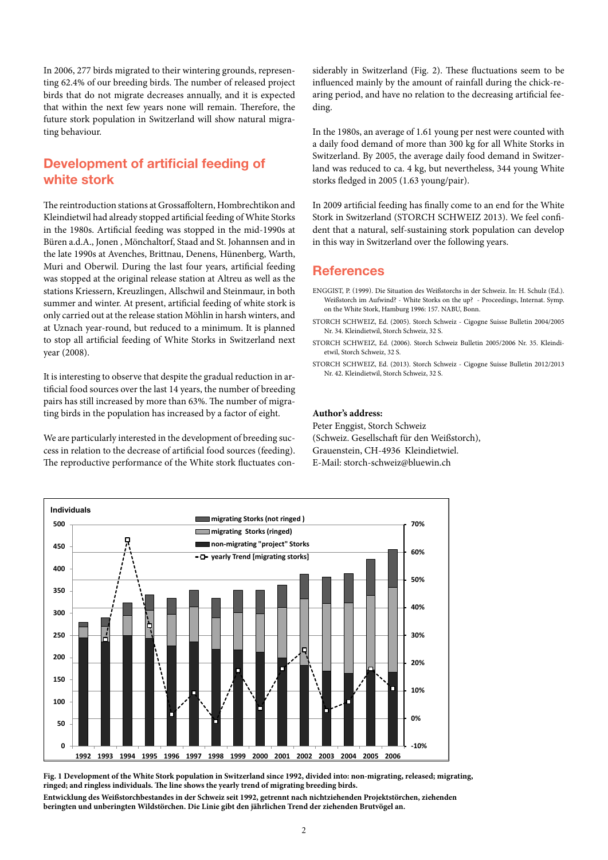In 2006, 277 birds migrated to their wintering grounds, representing 62.4% of our breeding birds. The number of released project birds that do not migrate decreases annually, and it is expected that within the next few years none will remain. Therefore, the future stork population in Switzerland will show natural migrating behaviour.

## **Development of artificial feeding of white stork**

The reintroduction stations at Grossaffoltern, Hombrechtikon and Kleindietwil had already stopped artificial feeding of White Storks in the 1980s. Artificial feeding was stopped in the mid-1990s at Büren a.d.A., Jonen , Mönchaltorf, Staad and St. Johannsen and in the late 1990s at Avenches, Brittnau, Denens, Hünenberg, Warth, Muri and Oberwil. During the last four years, artificial feeding was stopped at the original release station at Altreu as well as the stations Kriessern, Kreuzlingen, Allschwil and Steinmaur, in both summer and winter. At present, artificial feeding of white stork is only carried out at the release station Möhlin in harsh winters, and at Uznach year-round, but reduced to a minimum. It is planned to stop all artificial feeding of White Storks in Switzerland next year (2008).

It is interesting to observe that despite the gradual reduction in artificial food sources over the last 14 years, the number of breeding pairs has still increased by more than 63%. The number of migrating birds in the population has increased by a factor of eight.

We are particularly interested in the development of breeding success in relation to the decrease of artificial food sources (feeding). The reproductive performance of the White stork fluctuates considerably in Switzerland (Fig. 2). These fluctuations seem to be influenced mainly by the amount of rainfall during the chick-rearing period, and have no relation to the decreasing artificial feeding.

In the 1980s, an average of 1.61 young per nest were counted with a daily food demand of more than 300 kg for all White Storks in Switzerland. By 2005, the average daily food demand in Switzerland was reduced to ca. 4 kg, but nevertheless, 344 young White storks fledged in 2005 (1.63 young/pair).

In 2009 artificial feeding has finally come to an end for the White Stork in Switzerland (STORCH SCHWEIZ 2013). We feel confident that a natural, self-sustaining stork population can develop in this way in Switzerland over the following years.

#### **References**

ENGGIST, P. (1999). Die Situation des Weißstorchs in der Schweiz. In: H. Schulz (Ed.). Weißstorch im Aufwind? - White Storks on the up? - Proceedings, Internat. Symp. on the White Stork, Hamburg 1996: 157. NABU, Bonn.

- Storch Schweiz, Ed. (2005). Storch Schweiz Cigogne Suisse Bulletin 2004/2005 Nr. 34. Kleindietwil, Storch Schweiz, 32 S.
- Storch Schweiz, Ed. (2006). Storch Schweiz Bulletin 2005/2006 Nr. 35. Kleindietwil, Storch Schweiz, 32 S.
- Storch Schweiz, Ed. (2013). Storch Schweiz Cigogne Suisse Bulletin 2012/2013 Nr. 42. Kleindietwil, Storch Schweiz, 32 S.

#### **Author's address:**

Peter Enggist, Storch Schweiz (Schweiz. Gesellschaft für den Weißstorch), Grauenstein, CH-4936 Kleindietwiel. E-Mail: storch-schweiz@bluewin.ch



**Fig. 1 Development of the White Stork population in Switzerland since 1992, divided into: non-migrating, released; migrating, ringed; and ringless individuals. The line shows the yearly trend of migrating breeding birds.** 

**Entwicklung des Weißstorchbestandes in der Schweiz seit 1992, getrennt nach nichtziehenden Projektstörchen, ziehenden beringten und unberingten Wildstörchen. Die Linie gibt den jährlichen Trend der ziehenden Brutvögel an.**